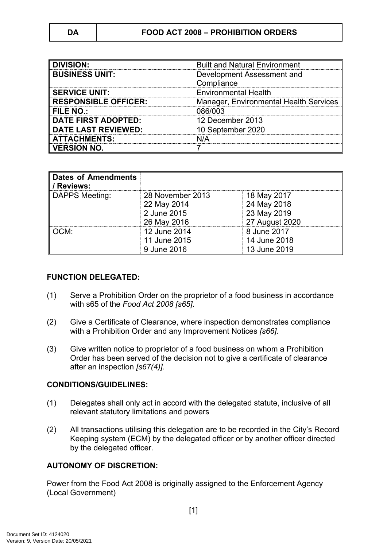| <b>DIVISION:</b>            | <b>Built and Natural Environment</b>     |  |
|-----------------------------|------------------------------------------|--|
| <b>BUSINESS UNIT:</b>       | Development Assessment and<br>Compliance |  |
| <b>SERVICE UNIT:</b>        | <b>Environmental Health</b>              |  |
| <b>RESPONSIBLE OFFICER:</b> | Manager, Environmental Health Services   |  |
| FILE NO.:                   | 086/003                                  |  |
| <b>DATE FIRST ADOPTED:</b>  | 12 December 2013                         |  |
| <b>DATE LAST REVIEWED:</b>  | 10 September 2020                        |  |
| <b>ATTACHMENTS:</b>         | N/A                                      |  |
| <b>VERSION NO.</b>          |                                          |  |

| <b>Dates of Amendments</b><br><b>O</b> / Reviews: |                  |                |
|---------------------------------------------------|------------------|----------------|
| DAPPS Meeting:                                    | 28 November 2013 | 18 May 2017    |
|                                                   | 22 May 2014      | 24 May 2018    |
|                                                   | 2 June 2015      | 23 May 2019    |
|                                                   | 26 May 2016      | 27 August 2020 |
| ∥ OCM:                                            | 12 June 2014     | 8 June 2017    |
|                                                   | 11 June 2015     | 14 June 2018   |
|                                                   | 9 June 2016      | 13 June 2019   |

#### **FUNCTION DELEGATED:**

- (1) Serve a Prohibition Order on the proprietor of a food business in accordance with s65 of the *Food Act 2008 [s65]*.
- (2) Give a Certificate of Clearance, where inspection demonstrates compliance with a Prohibition Order and any Improvement Notices *[s66].*
- (3) Give written notice to proprietor of a food business on whom a Prohibition Order has been served of the decision not to give a certificate of clearance after an inspection *[s67(4)]*.

#### **CONDITIONS/GUIDELINES:**

- (1) Delegates shall only act in accord with the delegated statute, inclusive of all relevant statutory limitations and powers
- (2) All transactions utilising this delegation are to be recorded in the City's Record Keeping system (ECM) by the delegated officer or by another officer directed by the delegated officer.

### **AUTONOMY OF DISCRETION:**

Power from the Food Act 2008 is originally assigned to the Enforcement Agency (Local Government)